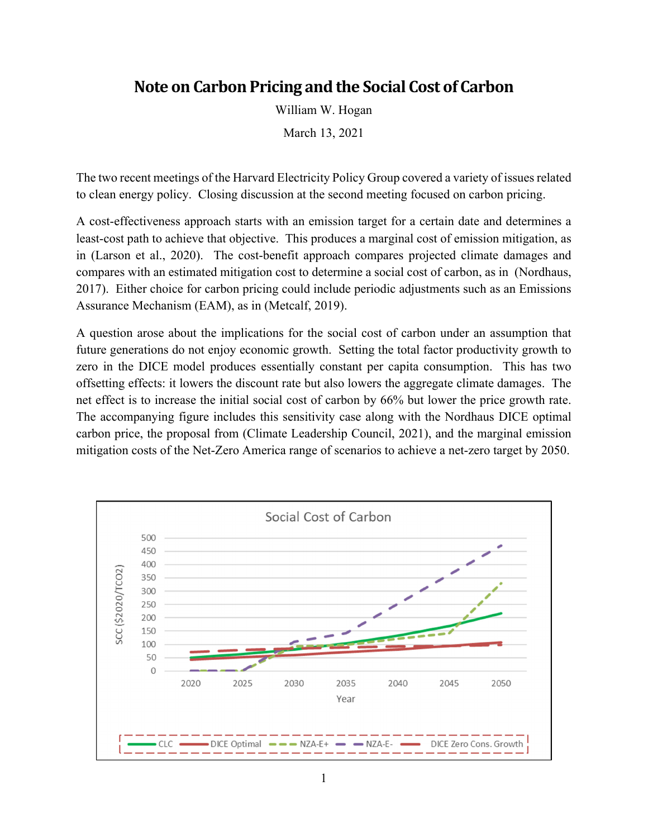## **Note on Carbon Pricing and the Social Cost of Carbon**

William W. Hogan

March 13, 2021

The two recent meetings of the Harvard Electricity Policy Group covered a variety of issues related to clean energy policy. Closing discussion at the second meeting focused on carbon pricing.

A cost-effectiveness approach starts with an emission target for a certain date and determines a least-cost path to achieve that objective. This produces a marginal cost of emission mitigation, as in (Larson et al., 2020). The cost-benefit approach compares projected climate damages and compares with an estimated mitigation cost to determine a social cost of carbon, as in (Nordhaus, 2017). Either choice for carbon pricing could include periodic adjustments such as an Emissions Assurance Mechanism (EAM), as in (Metcalf, 2019).

A question arose about the implications for the social cost of carbon under an assumption that future generations do not enjoy economic growth. Setting the total factor productivity growth to zero in the DICE model produces essentially constant per capita consumption. This has two offsetting effects: it lowers the discount rate but also lowers the aggregate climate damages. The net effect is to increase the initial social cost of carbon by 66% but lower the price growth rate. The accompanying figure includes this sensitivity case along with the Nordhaus DICE optimal carbon price, the proposal from (Climate Leadership Council, 2021), and the marginal emission mitigation costs of the Net-Zero America range of scenarios to achieve a net-zero target by 2050.